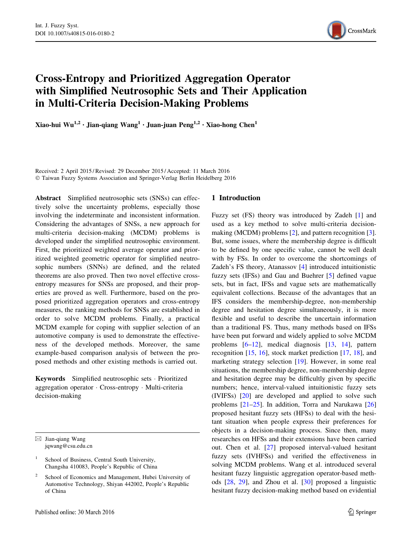

# Cross-Entropy and Prioritized Aggregation Operator with Simplified Neutrosophic Sets and Their Application in Multi-Criteria Decision-Making Problems

Xiao-hui Wu<sup>1,2</sup> • Jian-qiang Wang<sup>1</sup> • Juan-juan Peng<sup>1,2</sup> • Xiao-hong Chen<sup>1</sup>

Received: 2 April 2015 / Revised: 29 December 2015 / Accepted: 11 March 2016 - Taiwan Fuzzy Systems Association and Springer-Verlag Berlin Heidelberg 2016

Abstract Simplified neutrosophic sets (SNSs) can effectively solve the uncertainty problems, especially those involving the indeterminate and inconsistent information. Considering the advantages of SNSs, a new approach for multi-criteria decision-making (MCDM) problems is developed under the simplified neutrosophic environment. First, the prioritized weighted average operator and prioritized weighted geometric operator for simplified neutrosophic numbers (SNNs) are defined, and the related theorems are also proved. Then two novel effective crossentropy measures for SNSs are proposed, and their properties are proved as well. Furthermore, based on the proposed prioritized aggregation operators and cross-entropy measures, the ranking methods for SNSs are established in order to solve MCDM problems. Finally, a practical MCDM example for coping with supplier selection of an automotive company is used to demonstrate the effectiveness of the developed methods. Moreover, the same example-based comparison analysis of between the proposed methods and other existing methods is carried out.

Keywords Simplified neutrosophic sets - Prioritized aggregation operator - Cross-entropy - Multi-criteria decision-making

 $\boxtimes$  Jian-qiang Wang jqwang@csu.edu.cn

School of Business, Central South University, Changsha 410083, People's Republic of China

## 1 Introduction

Fuzzy set (FS) theory was introduced by Zadeh [\[1](#page-10-0)] and used as a key method to solve multi-criteria decisionmaking (MCDM) problems [[2\]](#page-10-0), and pattern recognition [\[3](#page-10-0)]. But, some issues, where the membership degree is difficult to be defined by one specific value, cannot be well dealt with by FSs. In order to overcome the shortcomings of Zadeh's FS theory, Atanassov [[4\]](#page-10-0) introduced intuitionistic fuzzy sets (IFSs) and Gau and Buehrer [\[5](#page-10-0)] defined vague sets, but in fact, IFSs and vague sets are mathematically equivalent collections. Because of the advantages that an IFS considers the membership-degree, non-membership degree and hesitation degree simultaneously, it is more flexible and useful to describe the uncertain information than a traditional FS. Thus, many methods based on IFSs have been put forward and widely applied to solve MCDM problems [[6–](#page-10-0)[12\]](#page-11-0), medical diagnosis [[13,](#page-11-0) [14](#page-11-0)], pattern recognition [\[15](#page-11-0), [16\]](#page-11-0), stock market prediction [\[17](#page-11-0), [18\]](#page-11-0), and marketing strategy selection [\[19](#page-11-0)]. However, in some real situations, the membership degree, non-membership degree and hesitation degree may be difficultly given by specific numbers; hence, interval-valued intuitionistic fuzzy sets (IVIFSs) [\[20](#page-11-0)] are developed and applied to solve such problems [[21–25\]](#page-11-0). In addition, Torra and Narukawa [\[26\]](#page-11-0) proposed hesitant fuzzy sets (HFSs) to deal with the hesitant situation when people express their preferences for objects in a decision-making process. Since then, many researches on HFSs and their extensions have been carried out. Chen et al. [[27](#page-11-0)] proposed interval-valued hesitant fuzzy sets (IVHFSs) and verified the effectiveness in solving MCDM problems. Wang et al. introduced several hesitant fuzzy linguistic aggregation operator-based methods [[28,](#page-11-0) [29\]](#page-11-0), and Zhou et al. [\[30](#page-11-0)] proposed a linguistic hesitant fuzzy decision-making method based on evidential

School of Economics and Management, Hubei University of Automotive Technology, Shiyan 442002, People's Republic of China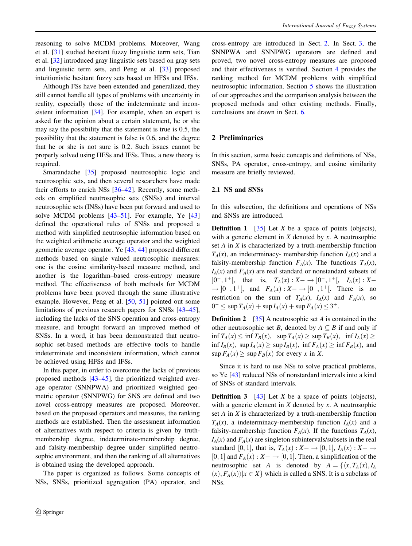reasoning to solve MCDM problems. Moreover, Wang et al. [\[31](#page-11-0)] studied hesitant fuzzy linguistic term sets, Tian et al. [[32\]](#page-11-0) introduced gray linguistic sets based on gray sets and linguistic term sets, and Peng et al. [\[33](#page-11-0)] proposed intuitionistic hesitant fuzzy sets based on HFSs and IFSs.

Although FSs have been extended and generalized, they still cannot handle all types of problems with uncertainty in reality, especially those of the indeterminate and incon-sistent information [\[34](#page-11-0)]. For example, when an expert is asked for the opinion about a certain statement, he or she may say the possibility that the statement is true is 0.5, the possibility that the statement is false is 0.6, and the degree that he or she is not sure is 0.2. Such issues cannot be properly solved using HFSs and IFSs. Thus, a new theory is required.

Smarandache [\[35](#page-11-0)] proposed neutrosophic logic and neutrosophic sets, and then several researchers have made their efforts to enrich NSs [\[36–42](#page-11-0)]. Recently, some methods on simplified neutrosophic sets (SNSs) and interval neutrosophic sets (INSs) have been put forward and used to solve MCDM problems [\[43](#page-11-0)[–51](#page-12-0)]. For example, Ye [[43\]](#page-11-0) defined the operational rules of SNSs and proposed a method with simplified neutrosophic information based on the weighted arithmetic average operator and the weighted geometric average operator. Ye [\[43](#page-11-0), [44](#page-11-0)] proposed different methods based on single valued neutrosophic measures: one is the cosine similarity-based measure method, and another is the logarithm–based cross-entropy measure method. The effectiveness of both methods for MCDM problems have been proved through the same illustrative example. However, Peng et al. [[50,](#page-12-0) [51](#page-12-0)] pointed out some limitations of previous research papers for SNSs [\[43–45](#page-11-0)], including the lacks of the SNS operation and cross-entropy measure, and brought forward an improved method of SNSs. In a word, it has been demonstrated that neutrosophic set-based methods are effective tools to handle indeterminate and inconsistent information, which cannot be achieved using HFSs and IFSs.

In this paper, in order to overcome the lacks of previous proposed methods [\[43–45](#page-11-0)], the prioritized weighted average operator (SNNPWA) and prioritized weighted geometric operator (SNNPWG) for SNS are defined and two novel cross-entropy measures are proposed. Moreover, based on the proposed operators and measures, the ranking methods are established. Then the assessment information of alternatives with respect to criteria is given by truthmembership degree, indeterminate-membership degree, and falsity-membership degree under simplified neutrosophic environment, and then the ranking of all alternatives is obtained using the developed approach.

The paper is organized as follows. Some concepts of NSs, SNSs, prioritized aggregation (PA) operator, and cross-entropy are introduced in Sect. 2. In Sect. [3,](#page-3-0) the SNNPWA and SNNPWG operators are defined and proved, two novel cross-entropy measures are proposed and their effectiveness is verified. Section [4](#page-7-0) provides the ranking method for MCDM problems with simplified neutrosophic information. Section [5](#page-8-0) shows the illustration of our approaches and the comparison analysis between the proposed methods and other existing methods. Finally, conclusions are drawn in Sect. [6.](#page-10-0)

#### 2 Preliminaries

In this section, some basic concepts and definitions of NSs, SNSs, PA operator, cross-entropy, and cosine similarity measure are briefly reviewed.

#### 2.1 NS and SNSs

In this subsection, the definitions and operations of NSs and SNSs are introduced.

**Definition 1** [[35\]](#page-11-0) Let X be a space of points (objects), with a generic element in  $X$  denoted by  $x$ . A neutrosophic set A in X is characterized by a truth-membership function  $T_A(x)$ , an indeterminacy- membership function  $I_A(x)$  and a falsity-membership function  $F_A(x)$ . The functions  $T_A(x)$ ,  $I_A(x)$  and  $F_A(x)$  are real standard or nonstandard subsets of  $[0^-, 1^+]$ , that is,  $T_A(x): X \to [0^-, 1^+]$ ,  $I_A(x): X \to [0^-, 1^+]$  $\to$   $]0^-, 1^+[$ , and  $F_A(x): X^- \to ]0^-, 1^+[$ . There is no restriction on the sum of  $T_A(x)$ ,  $I_A(x)$  and  $F_A(x)$ , so  $0^- \leq \sup T_A(x) + \sup I_A(x) + \sup F_A(x) \leq 3^+$ .

**Definition 2** [\[35](#page-11-0)] A neutrosophic set A is contained in the other neutrosophic set B, denoted by  $A \subseteq B$  if and only if inf  $T_A(x) \leq \inf T_B(x)$ ,  $\sup T_A(x) \geq \sup T_B(x)$ ,  $\inf I_A(x) \geq$ inf  $I_B(x)$ , sup  $I_A(x) \ge \sup I_B(x)$ , inf  $F_A(x) \ge \inf F_B(x)$ , and  $\sup F_A(x) \geq \sup F_B(x)$  for every x in X.

Since it is hard to use NSs to solve practical problems, so Ye [[43\]](#page-11-0) reduced NSs of nonstardard intervals into a kind of SNSs of standard intervals.

**Definition 3** [[43\]](#page-11-0) Let X be a space of points (objects), with a generic element in  $X$  denoted by  $x$ . A neutrosophic set  $A$  in  $X$  is characterized by a truth-membership function  $T_A(x)$ , a indeterminacy-membership function  $I_A(x)$  and a falsity-membership function  $F_A(x)$ . If the functions  $T_A(x)$ ,  $I_A(x)$  and  $F_A(x)$  are singleton subintervals/subsets in the real standard [0, 1], that is,  $T_A(x): X \rightarrow [0, 1]$ ,  $I_A(x): X \rightarrow$ [0, 1] and  $F_A(x): X \to [0, 1]$ . Then, a simplification of the neutrosophic set A is denoted by  $A = \{ \langle x, T_A(x), I_A \rangle \}$  $\langle x\rangle, F_A(x)\rangle |x \in X\}$  which is called a SNS. It is a subclass of NSs.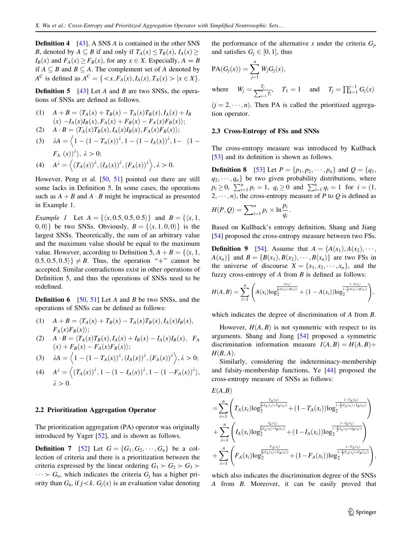**Definition 4** [\[43\]](#page-11-0). A SNS A is contained in the other SNS B, denoted by  $A \subseteq B$  if and only if  $T_A(x) \leq T_B(x)$ ,  $I_A(x) \geq$  $I_B(x)$  and  $F_A(x) \geq F_B(x)$ , for any  $x \in X$ . Especially,  $A = B$ if  $A \subseteq B$  and  $B \subseteq A$ . The complement set of A denoted by  $A^C$  is defined as  $A^C = \{ \langle x, F_A(x), I_A(x), T_A(x) \rangle | x \in X \}.$ 

**Definition 5** [[43\]](#page-11-0) Let A and B are two SNSs, the operations of SNSs are defined as follows.

(1) 
$$
A + B = \langle T_A(x) + T_B(x) - T_A(x)T_B(x), I_A(x) + I_B(x) - I_A(x)I_B(x), F_A(x) + F_B(x) - F_A(x)F_B(x) \rangle;
$$

(2) 
$$
A \cdot B = \langle T_A(x)T_B(x), I_A(x)I_B(x), F_A(x)F_B(x) \rangle;
$$

(3) 
$$
\lambda A = \langle 1 - (1 - T_A(x))^{\lambda}, 1 - (1 - I_A(x))^{\lambda}, 1 - (1 - F_A(x))^{\lambda} \rangle
$$
,  $\lambda > 0$ ;  
\n(4)  $A^{\lambda} = \langle (T_A(x))^{\lambda}, (I_A(x))^{\lambda}, (F_A(x))^{\lambda} \rangle, \lambda > 0$ .

However, Peng et al. [[50](#page-12-0), [51](#page-12-0)] pointed out there are still

some lacks in Definition 5. In some cases, the operations such as  $A + B$  and  $A \cdot B$  might be impractical as presented in Example 1.

*Example 1* Let  $A = \{ \langle x, 0.5, 0.5, 0.5 \rangle \}$  and  $B = \{ \langle x, 1, 1, 1 \rangle \}$  $|0,0\rangle$  be two SNSs. Obviously,  $B = \{(x, 1, 0, 0)\}\$ is the largest SNSs. Theoretically, the sum of an arbitrary value and the maximum value should be equal to the maximum value. However, according to Definition 5,  $A + B = \{ \langle x, 1, \rangle \}$  $(0.5, 0.5, 0.5)$   $\neq$  B. Thus, the operation "+" cannot be accepted. Similar contradictions exist in other operations of Definition 5, and thus the operations of SNSs need to be redefined.

**Definition 6** [[50,](#page-12-0) [51](#page-12-0)] Let A and B be two SNSs, and the operations of SNSs can be defined as follows:

- (1)  $A + B = \langle T_A(x) + T_B(x) T_A(x)T_B(x), I_A(x)I_B(x) \rangle$  $F_A(x)F_B(x)$ :
- (2)  $A \cdot B = \langle T_A(x)T_B(x), I_A(x) + I_B(x) I_A(x)I_B(x), F_A(x) \rangle$  $(x) + F_B(x) - F_A(x)F_B(x)$ ;

(3) 
$$
\lambda A = \left\langle 1 - (1 - T_A(x))^{\lambda}, (I_A(x))^{\lambda}, (F_A(x))^{\lambda} \right\rangle, \lambda > 0;
$$

(4) 
$$
A^{\lambda} = \left\langle (T_A(x))^{\lambda}, 1 - (1 - I_A(x))^{\lambda}, 1 - (1 - F_A(x))^{\lambda} \right\rangle
$$
,   
  $\lambda > 0$ .

#### 2.2 Prioritization Aggregation Operator

The prioritization aggregation (PA) operator was originally introduced by Yager [[52\]](#page-12-0), and is shown as follows.

**Definition 7** [[52\]](#page-12-0) Let  $G = \{G_1, G_2, \dots, G_n\}$  be a collection of criteria and there is a prioritization between the criteria expressed by the linear ordering  $G_1 \succ G_2 \succ G_3 \succ$  $\cdots > G_n$ , which indicates the criteria  $G_j$  has a higher priority than  $G_k$ , if  $j \lt k$ .  $G_i(x)$  is an evaluation value denoting the performance of the alternative x under the criteria  $G_i$ , and satisfies  $G_i \in [0, 1]$ , thus

$$
PA(G_j(x)) = \sum_{j=1}^{n} W_j G_j(x),
$$
  
where  $W_j = \frac{T_j}{\sum_{i=1}^{n} T_i}, \quad T_1 = 1$  and  $T_j = \prod_{k=1}^{j-1} G_j(x)$ 

 $(j = 2, \dots, n)$ . Then PA is called the prioritized aggregation operator.

#### 2.3 Cross-Entropy of FSs and SNSs

The cross-entropy measure was introduced by Kullback [\[53](#page-12-0)] and its definition is shown as follows.

**Definition 8** [[53\]](#page-12-0) Let  $P = \{p_1, p_2, \dots, p_n\}$  and  $Q = \{q_1, q_2, \dots, q_n\}$  $q_2, \dots, q_n$  be two given probability distributions, where  $p_i \ge 0$ ,  $\sum_{i=1}^n p_i = 1$ ,  $q_i \ge 0$  and  $\sum_{i=1}^n q_i = 1$  for  $i = (1,$  $(2, \dots, n)$ , the cross-entropy measure of P to Q is defined as

$$
H(P,Q) = \sum_{i=1}^{n} p_i \times \ln \frac{p_i}{q_i}.
$$

Based on Kullback's entropy definition, Shang and Jiang [\[54](#page-12-0)] proposed the cross-entropy measure between two FSs.

**Definition 9** [[54\]](#page-12-0). Assume that  $A = \{A(x_1), A(x_2), \cdots, A(x_n)\}$  $A(x_n)$ } and  $B = \{B(x_1), B(x_2), \cdots, B(x_n)\}\$ are two FSs in the universe of discourse  $X = \{x_1, x_2, \dots, x_n\}$ , and the fuzzy cross-entropy of  $A$  from  $B$  is defined as follows:

$$
H(A,B) = \sum_{i=1}^{n} \left( A(x_i) \log_2^{\frac{A(x_i)}{\frac{1}{2}(A(x_i)+B(x_i))}} + (1-A(x_i)) \log_2^{\frac{1-A(x_i)}{1-\frac{1}{2}(A(x_i)+B(x_i))}} \right),
$$

which indicates the degree of discrimination of A from B.

However,  $H(A, B)$  is not symmetric with respect to its arguments. Shang and Jiang [\[54](#page-12-0)] proposed a symmetric discrimination information measure  $I(A, B) = H(A, B) +$  $H(B, A)$ .

Similarly, considering the indeterminacy-membership and falsity-membership functions, Ye [\[44](#page-11-0)] proposed the cross-entropy measure of SNSs as follows:

$$
E(A,B) = \sum_{i=1}^{n} \left( T_A(x_i) \log_2^{\frac{T_A(x_i)}{2}(x_i) + T_B(x_i))} + (1 - T_A(x_i)) \log_2^{\frac{1 - T_A(x_i)}{1 - \frac{1}{2}(T_A(x_i) + T_B(x_i))}} \right) + \sum_{i=1}^{n} \left( I_A(x_i) \log_2^{\frac{I_A(x_i)}{2}(x_i) + I_B(x_i))} + (1 - I_A(x_i)) \log_2^{\frac{1 - I_A(x_i)}{2}(I_A(x_i) + I_B(x_i))} \right) + \sum_{i=1}^{n} \left( F_A(x_i) \log_2^{\frac{I_A(x_i)}{2}(x_i) + F_B(x_i))} + (1 - F_A(x_i)) \log_2^{\frac{1 - F_A(x_i)}{2}(F_A(x_i) + F_B(x_i))} \right),
$$

which also indicates the discrimination degree of the SNSs A from B. Moreover, it can be easily proved that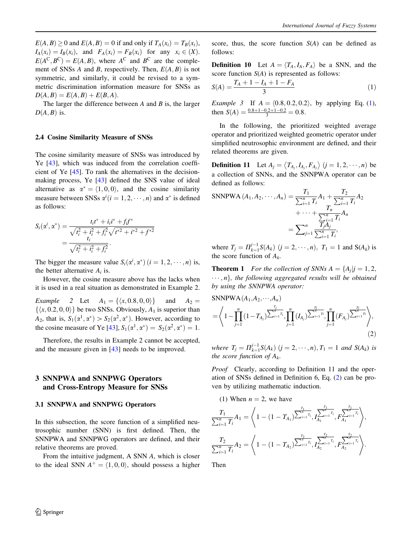<span id="page-3-0"></span> $E(A, B) \ge 0$  and  $E(A, B) = 0$  if and only if  $T_A(x_i) = T_B(x_i)$ ,  $I_A(x_i) = I_B(x_i)$ , and  $F_A(x_i) = F_B(x_i)$  for any  $x_i \in (X)$ .  $E(A^{C}, B^{C}) = E(A, B)$ , where  $A^{C}$  and  $B^{C}$  are the complement of SNSs A and B, respectively. Then,  $E(A, B)$  is not symmetric, and similarly, it could be revised to a symmetric discrimination information measure for SNSs as  $D(A, B) = E(A, B) + E(B, A).$ 

The larger the difference between  $A$  and  $B$  is, the larger  $D(A, B)$  is.

#### 2.4 Cosine Similarity Measure of SNSs

The cosine similarity measure of SNSs was introduced by Ye [\[43](#page-11-0)], which was induced from the correlation coefficient of Ye [\[45](#page-11-0)]. To rank the alternatives in the decisionmaking process, Ye [\[43](#page-11-0)] defined the SNS value of ideal alternative as  $\alpha^* = \langle 1, 0, 0 \rangle$ , and the cosine similarity measure between SNSs  $\alpha^i$  ( $i = 1, 2, \dots, n$ ) and  $\alpha^*$  is defined as follows:

$$
S_i(\alpha^i, \alpha^*) = \frac{t_i t^* + i_i t^* + f_i f^*}{\sqrt{t_i^2 + i_i^2 + f_i^2} \sqrt{t^{*2} + t^{*2} + f^{*2}}}
$$
  
= 
$$
\frac{t_i}{\sqrt{t_i^2 + i_i^2 + f_i^2}}.
$$

The bigger the measure value  $S_i(\alpha^i, \alpha^*)$   $(i = 1, 2, \dots, n)$  is, the better alternative  $A_i$  is.

However, the cosine measure above has the lacks when it is used in a real situation as demonstrated in Example 2.

*Example* 2 Let  $A_1 = \{(x, 0.8, 0, 0)\}$  and  $A_2 =$  $\{\langle x, 0.2, 0, 0 \rangle\}$  be two SNSs. Obviously,  $A_1$  is superior than  $A_2$ , that is,  $S_1(\alpha^1, \alpha^*) > S_2(\alpha^2, \alpha^*)$ . However, according to the cosine measure of Ye [\[43](#page-11-0)],  $S_1(\alpha^1, \alpha^*) = S_2(\alpha^2, \alpha^*) = 1$ .

Therefore, the results in Example 2 cannot be accepted, and the measure given in [\[43](#page-11-0)] needs to be improved.

## 3 SNNPWA and SNNPWG Operators and Cross-Entropy Measure for SNSs

#### 3.1 SNNPWA and SNNPWG Operators

In this subsection, the score function of a simplified neutrosophic number (SNN) is first defined. Then, the SNNPWA and SNNPWG operators are defined, and their relative theorems are proved.

From the intuitive judgment, A SNN A, which is closer to the ideal SNN  $A^+ = \langle 1, 0, 0 \rangle$ , should possess a higher score, thus, the score function  $S(A)$  can be defined as follows:

**Definition 10** Let  $A = \langle T_A, I_A, F_A \rangle$  be a SNN, and the score function  $S(A)$  is represented as follows:

$$
S(A) = \frac{T_A + 1 - I_A + 1 - F_A}{3} \tag{1}
$$

*Example 3* If  $A = (0.8, 0.2, 0.2)$ , by applying Eq. (1), then  $S(A) = \frac{0.8 + 1 - 0.2 + 1 - 0.2}{3} = 0.8$ .

In the following, the prioritized weighted average operator and prioritized weighted geometric operator under simplified neutrosophic environment are defined, and their related theorems are given.

**Definition 11** Let  $A_j = \langle T_{A_j}, I_{A_j}, F_{A_j} \rangle$   $(j = 1, 2, \dots, n)$  be a collection of SNNs, and the SNNPWA operator can be defined as follows:

SNNPWA 
$$
(A_1, A_2, \dots, A_n)
$$
 = 
$$
\frac{T_1}{\sum_{i=1}^n T_i} A_1 + \frac{T_2}{\sum_{i=1}^n T_i} A_2 + \dots + \frac{T_n}{\sum_{i=1}^n T_i} A_n
$$

$$
= \sum_{j=1}^n \frac{T_j A_j}{\sum_{i=1}^n T_i},
$$

where  $T_j = \prod_{k=1}^{j-1} S(A_k)$   $(j = 2, \dots, n)$ ,  $T_1 = 1$  and  $S(A_k)$  is the score function of  $A_k$ .

**Theorem 1** For the collection of SNNs  $A = \{A_i | i = 1, 2, \ldots\}$  $\cdots$ , n}, the following aggregated results will be obtained by using the SNNPWA operator:

$$
SNNPWA(A_1, A_2, \cdots, A_n)
$$
  
=  $\left\langle 1 - \prod_{j=1}^n (1 - T_{A_j})^{\sum_{i=1}^n T_i}, \prod_{j=1}^n (I_{A_j})^{\sum_{i=1}^n n}, \prod_{j=1}^n (F_{A_j})^{\sum_{i=1}^n T_i} \right\rangle,$   
(2)

where  $T_j = \prod_{k=1}^{j-1} S(A_k)$   $(j = 2, \dots, n), T_1 = 1$  and  $S(A_k)$  is the score function of  $A_k$ .

Proof Clearly, according to Definition 11 and the operation of SNSs defined in Definition 6, Eq. (2) can be proven by utilizing mathematic induction.

(1) When 
$$
n = 2
$$
, we have  
\n
$$
\frac{T_1}{\sum_{i=1}^n T_i} A_1 = \left\langle 1 - (1 - T_{A_1})^{\frac{T_1}{\sum_{i=1}^n T_i}} \cdot I_{A_1}^{\frac{T_1}{\sum_{i=1}^n T_i}} \cdot F_{A_1}^{\frac{T_1}{\sum_{i=1}^n T_i}} \right\rangle,
$$
\n
$$
\frac{T_2}{\sum_{i=1}^n T_i} A_2 = \left\langle 1 - (1 - T_{A_2})^{\frac{T_2}{\sum_{i=1}^n T_i}} \cdot I_{A_2}^{\frac{T_2}{\sum_{i=1}^n T_i}} \cdot F_{A_2}^{\frac{T_2}{\sum_{i=1}^n T_i}} \right\rangle.
$$

Then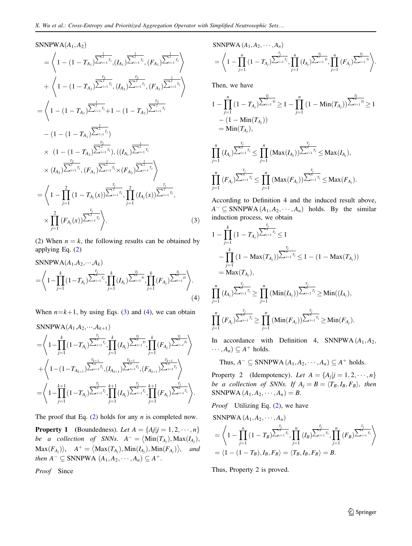$$
SNNPWA(A_1, A_2)
$$
\n
$$
= \left\langle 1 - (1 - T_{A_1})^{\frac{1}{\sum_{i=1}^{2} T_i}} \left\langle I_{A_1} \right\rangle^{\frac{1}{\sum_{i=1}^{2} T_i}} \left\langle F_{A_1} \right\rangle^{\frac{1}{\sum_{i=1}^{2} T_i}} \right\rangle
$$
\n
$$
+ \left\langle 1 - (1 - T_{A_2})^{\frac{T_2}{\sum_{i=1}^{2} T_i}} \left\langle I_{A_2} \right\rangle^{\frac{T_2}{\sum_{i=1}^{2} T_i}} \left\langle F_{A_2} \right\rangle^{\frac{1}{\sum_{i=1}^{2} T_i}} \right\rangle
$$
\n
$$
= \left\langle 1 - (1 - T_{A_1})^{\frac{1}{\sum_{i=1}^{2} T_i}} + 1 - (1 - T_{A_2})^{\frac{T_2}{\sum_{i=1}^{2} T_i}} \right\rangle
$$
\n
$$
- (1 - (1 - T_{A_1})^{\frac{T_2}{\sum_{i=1}^{2} T_i}}) \left\langle (I_{A_1})^{\frac{1}{\sum_{i=1}^{2} T_i}} \right\rangle
$$
\n
$$
\times (I_{A_2})^{\frac{T_2}{\sum_{i=1}^{2} T_i}} \left\langle F_{A_1} \right\rangle^{\frac{1}{\sum_{i=1}^{2} T_i}} \times \left\langle F_{A_2} \right\rangle^{\frac{1}{\sum_{i=1}^{2} T_i}} \right\rangle
$$
\n
$$
= \left\langle 1 - \prod_{j=1}^{2} (1 - T_{A_j}(x))^{\frac{T_j}{\sum_{i=1}^{2} T_i}} \prod_{j=1}^{2} (I_{A_j}(x))^{\frac{T_j}{\sum_{i=1}^{2} T_i}} \right\rangle
$$
\n
$$
\times \prod_{j=1}^{2} (F_{A_j}(x))^{\frac{T_j}{\sum_{i=1}^{2} T_i}}.
$$
\n(3)

(2) When  $n = k$ , the following results can be obtained by applying Eq. ([2\)](#page-3-0)

$$
SNNPWA(A_1, A_2, \cdots, A_k)
$$
\n
$$
= \left\langle 1 - \prod_{j=1}^k (1 - T_{A_j})^{\sum_{i=1}^{\frac{T_j}{n}} \sum_{j=1}^k (I_{A_j})^{\sum_{i=1}^{\frac{T_j}{n}} \sum_{j=1}^k (F_{A_j})^{\sum_{i=1}^{\frac{T_j}{n}} \sum_{i=1}^k (F_{A_j})^{\sum_{i=1}^{\frac{T_j}{n}} \sum_{i=1}^k (A_i)^{\frac{T_j}{n}} \sum_{j=1}^k (A_j)^{\frac{T_j}{n}} \right\rangle
$$
\n
$$
(4)
$$

When  $n=k+1$ , by using Eqs. [\(3](#page-3-0)) and (4), we can obtain

$$
SNNPWA(A1, A2,..., Ak+1)
$$
\n
$$
= \left\langle 1 - \prod_{j=1}^{r} (1 - T_{A_j})^{\sum_{i=1}^{n} T_i}, \prod_{j=1}^{r} (I_{A_j})^{\sum_{i=1}^{n} T_i}, \prod_{j=1}^{r} (F_{A_j})^{\sum_{i=1}^{n} T_i} \right\rangle
$$
\n
$$
+ \left\langle 1 - (1 - T_{A_{k+1}})^{\sum_{i=1}^{n} T_i}, (I_{A_{k+1}})^{\sum_{i=1}^{n} T_i}, (F_{A_{k+1}})^{\sum_{i=1}^{n} T_i} \right\rangle
$$
\n
$$
= \left\langle 1 - \prod_{j=1}^{k+1} (1 - T_{A_j})^{\sum_{i=1}^{n} T_i}, \prod_{j=1}^{k+1} (I_{A_j})^{\sum_{i=1}^{n} T_i}, \prod_{j=1}^{r} (F_{A_j})^{\sum_{i=1}^{n} T_i} \right\rangle.
$$

The proof that Eq.  $(2)$  $(2)$  holds for any *n* is completed now.

**Property 1** (Boundedness). Let  $A = \{Aj | j = 1, 2, \dots, n\}$ be a collection of SNNs.  $A^{-} = \langle \text{Min}(T_{A_j}), \text{Max}(I_{A_j}),$  $\text{Max}(F_{A_j})$ ,  $A^+ = \langle \text{Max}(T_{A_j}), \text{Min}(I_{A_j}), \text{Min}(F_{A_j}) \rangle$ , and then  $A^- \subseteq$  SNNPWA  $(A_1, A_2, \cdots, A_n) \subseteq A^+$ .

Proof Since

SNNPWA 
$$
(A_1, A_2, \dots, A_n)
$$
  
=  $\left\langle 1 - \prod_{j=1}^n (1 - T_{A_j})^{\frac{T_j}{\sum_{i=1}^n T_i}}, \prod_{j=1}^n (I_{A_j})^{\frac{T_j}{\sum_{i=1}^n T_i}}, \prod_{j=1}^n (F_{A_j})^{\frac{T_j}{\sum_{i=1}^n T_i}} \right\rangle$ .

Then, we have

$$
1 - \prod_{j=1}^{n} (1 - T_{A_j})^{\frac{T}{\sum_{i=1}^{n} T_i}} \ge 1 - \prod_{j=1}^{n} (1 - \min(T_{A_j}))^{\frac{T}{\sum_{i=1}^{n} T_i}} \ge 1
$$
  
-  $(1 - \min(T_{A_j}))$   
=  $\min(T_{A_j}),$ 

$$
\prod_{j=1}^n (I_{A_j})^{\frac{T_j}{\sum_{i=1}^n T_i}} \leq \prod_{j=1}^n (\text{Max}(I_{A_j}))^{\frac{T_j}{\sum_{i=1}^n T_i}} \leq \text{Max}(I_{A_j}),
$$
  

$$
\prod_{j=1}^n (F_{A_j})^{\frac{T_j}{\sum_{i=1}^n T_i}} \leq \prod_{j=1}^n (\text{Max}(F_{A_j}))^{\frac{T_j}{\sum_{i=1}^n T_i}} \leq \text{Max}(F_{A_j}).
$$

According to Definition 4 and the induced result above,  $A^- \subseteq \text{SNNPWA}(A_1, A_2, \dots, A_n)$  holds. By the similar induction process, we obtain

$$
1 - \prod_{j=1}^{k} (1 - T_{A_j})^{\frac{T_j}{\sum_{i=1}^{n} T_i}} \le 1
$$
  
\n
$$
- \prod_{j=1}^{k} (1 - \text{Max}(T_{A_j}))^{\frac{T_j}{\sum_{i=1}^{n} T_i}} \le 1 - (1 - \text{Max}(T_{A_j}))
$$
  
\n
$$
= \text{Max}(T_{A_j}),
$$
  
\n
$$
\prod_{j=1}^{n} (I_{A_j})^{\frac{T_j}{\sum_{i=1}^{n} T_i}} \ge \prod_{j=1}^{n} (\text{Min}(I_{A_j}))^{\frac{T_j}{\sum_{i=1}^{n} T_i}} \ge \text{Min}((I_{A_j}),
$$
  
\n
$$
\prod_{j=1}^{n} (F_{A_j})^{\frac{T_j}{\sum_{i=1}^{n} T_i}} \ge \prod_{j=1}^{n} (\text{Min}(F_{A_j}))^{\frac{T_j}{\sum_{i=1}^{n} T_i}} \ge \text{Min}(F_{A_j}).
$$

In accordance with Definition 4, SNNPWA  $(A_1, A_2, A_3)$  $\cdots$ ,  $A_n) \subseteq A^+$  holds.

Thus,  $A^- \subseteq$  SNNPWA  $(A_1, A_2, \dots, A_n) \subseteq A^+$  holds.

Property 2 (Idempotency). Let  $A = \{A_j | j = 1, 2, \dots, n\}$ be a collection of SNNs. If  $A_i = B = \langle T_B, I_B, F_B \rangle$ , then SNNPWA  $(A_1, A_2, \cdots, A_n) = B.$ 

*Proof* Utilizing Eq.  $(2)$  $(2)$ , we have

SNNPWA 
$$
(A_1, A_2, \dots, A_n)
$$
  
\n
$$
= \left\langle 1 - \prod_{j=1}^n (1 - T_B)^{\sum_{i=1}^n T_i}, \prod_{j=1}^n (I_B)^{\sum_{i=1}^n T_i}, \prod_{j=1}^n (F_B)^{\sum_{i=1}^n T_i} \right\rangle
$$
\n
$$
= \left\langle 1 - (1 - T_B), I_B, F_B \right\rangle = \left\langle T_B, I_B, F_B \right\rangle = B.
$$

Thus, Property 2 is proved.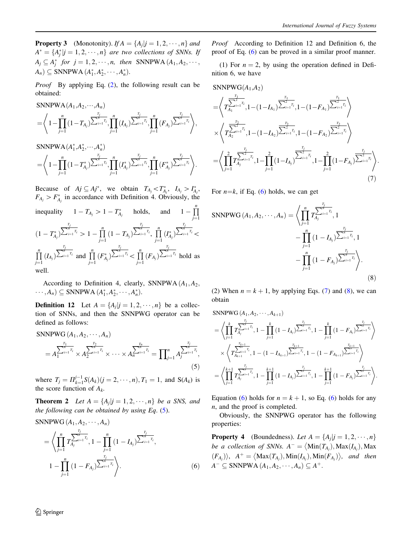<span id="page-5-0"></span>**Property 3** (Monotonity). If  $A = \{A_j | j = 1, 2, \dots, n\}$  and  $A^* = \{A_j^* | j = 1, 2, \cdots, n\}$  are two collections of SNNs. If  $A_j \subseteq A_j^*$  for  $j = 1, 2, \dots, n$ , then SNNPWA  $(A_1, A_2, \dots, A_n)$  $A_n) \subseteq \text{SNNPWA}(A_1^*, A_2^*, \cdots, A_n^*).$ 

Proof By applying Eq. [\(2\)](#page-3-0), the following result can be obtained:

$$
SNN PWA(A_1, A_2, \cdots, A_n)
$$
  
=  $\left\langle 1 - \prod_{j=1}^n (1 - T_{A_j})^{\sum_{i=1}^n T_i}, \prod_{j=1}^n (I_{A_j})^{\sum_{i=1}^n T_i}, \prod_{j=1}^n (F_{A_j})^{\sum_{i=1}^n T_i} \right\rangle$ 

SNNPWA $(A_1^*,A_2^*,\cdots,A_n^*)$  $=\left(1-\prod^{n}\right)$  $j=1$  $(1 - T_{A_j}^*)$  $\frac{T_j}{\sqrt{n}}$  $\sum_{i=1}^{n} \frac{n}{T_i}$  $j=1$  $(I_{A_j}^*)$  $\overline{\phantom{a}}^{T_j}$  $i=1$ <sup>T<sub>i</sub></sup> \*  $\prod^n$  $j=1$  $(F_{A_j}^*)$  $\overline{ }$   $\overline{ }$   $\overline{ }$   $\overline{ }$   $\overline{ }$   $\overline{ }$   $\overline{ }$   $\overline{ }$   $\overline{ }$   $\overline{ }$   $\overline{ }$   $\overline{ }$   $\overline{ }$   $\overline{ }$   $\overline{ }$   $\overline{ }$   $\overline{ }$   $\overline{ }$   $\overline{ }$   $\overline{ }$   $\overline{ }$   $\overline{ }$   $\overline{ }$   $\overline{ }$   $\overline{ }$   $\overline{ }$   $\overline{ }$   $\overline{$  $i=1$ <sup>T<sub>i</sub></sup>  $\sqrt{2}$ :

Because of  $Aj \subseteq Aj^*$ , we obtain  $T_{A_j} < T^*_{A_j}$ ,  $I_{A_j} > I^*_{A_j}$ ,  $F_{A_j} > F_{A_j}^*$  in accordance with Definition 4. Obviously, the inequality  $1 - T_{A_j} > 1 - T_{A_j}^*$  holds, and  $1 - \prod_{j=1}^n$  $(1 - T_{A_j}^*)$  $\overline{\nabla^n}$  $\frac{1}{(n-1)^{T_i}} > 1 - \prod^n$  $\prod\limits_{j=1}\left(1-T_{A_j}\right)$  $\overline{\nabla^n}$  $\sum_{i=1}^n T_i$ ,  $\prod_{i=1}^n$  $j=1$  $(I_{A_j}^*)$  $\overline{\nabla^n}$  $\sum_{i=1}^{T_i}$  $\prod_{i=1}^n$  $\prod\limits_{j=1}\left( I_{A_{j}}\right)$  $\frac{T_j}{\sqrt{n}}$  $\prod_{i=1}^{n}$  and  $\prod_{i=1}^{n}$  $j=1$  $(F_{A_j}^*)$  $\frac{T_j}{\sqrt{n}}$  $\frac{n}{i=1}$   $\frac{n}{i}$  <  $\prod$  $\prod\limits_{j=1}\left( F_{A_{j}}\right)$  $\frac{T_j}{\nabla^n}$  $i=1$ <sup>T<sub>i</sub></sup> hold as well.

According to Definition 4, clearly, SNNPWA  $(A_1, A_2, A_3)$  $\cdots, A_n) \subseteq \text{SNNPWA } (A_1^*, A_2^*, \cdots, A_n^*).$ 

**Definition 12** Let  $A = \{A_j | j = 1, 2, \dots, n\}$  be a collection of SNNs, and then the SNNPWG operator can be defined as follows:

$$
\text{SNNPWG}(A_1, A_2, \cdots, A_n) = A_1^{\frac{T_1}{\sum_{i=1}^n r_i}} \times A_2^{\frac{T_2}{\sum_{i=1}^n r_i}} \times \cdots \times A_n^{\frac{T_n}{\sum_{i=1}^n r_i}} = \prod_{j=1}^n A_j^{\frac{T_j}{\sum_{i=1}^n r_i}},\tag{5}
$$

where  $T_j = \prod_{k=1}^{j-1} S(A_k)(j = 2, \dots, n), T_1 = 1$ , and  $S(A_k)$  is the score function of  $A_k$ .

**Theorem 2** Let  $A = \{A_j | j = 1, 2, \dots, n\}$  be a SNS, and the following can be obtained by using Eq.  $(5)$ .

SNNPWG 
$$
(A_1, A_2, \dots, A_n)
$$
  
\n
$$
= \left\langle \prod_{j=1}^n T_{A_j}^{\frac{T_j}{\sum_{i=1}^n T_i}}, 1 - \prod_{j=1}^n (1 - I_{A_j})^{\frac{T_j}{\sum_{i=1}^n T_i}}, 1 - \prod_{j=1}^n (1 - F_{A_j})^{\frac{T_j}{\sum_{i=1}^n T_i}} \right\rangle.
$$
\n(6)

Proof According to Definition 12 and Definition 6, the proof of Eq. (6) can be proved in a similar proof manner.

(1) For  $n = 2$ , by using the operation defined in Definition 6, we have

$$
SNNPWG(A_1, A_2)
$$
\n
$$
= \left\langle T \frac{\sum_{i=1}^{T_2} \sum_{i=1}^{T_i} (1 - (1 - I_{A_1})^{\sum_{i=1}^{T_1} T_i}, 1 - (1 - F_{A_1})^{\sum_{i=1}^{T_2} T_i} \right\rangle}{\times \left\langle T \frac{\sum_{i=1}^{T_2} \sum_{i=1}^{T_i} (1 - (1 - I_{A_2})^{\sum_{i=1}^{T_2} T_i}, 1 - (1 - F_{A_2})^{\sum_{i=1}^{T_2} T_i} \right\rangle}
$$
\n
$$
= \left\langle \prod_{j=1}^{T_2} T \frac{\sum_{i=1}^{T_1} T_i}{A_j}, 1 - \prod_{j=1}^{T_2} (1 - I_{A_j})^{\sum_{i=1}^{T_2} T_i}, 1 - \prod_{j=1}^{T_2} (1 - F_{A_j})^{\sum_{i=1}^{T_2} T_i} \right\rangle.
$$
\n(7)

For  $n=k$ , if Eq. (6) holds, we can get

SNNPWG 
$$
(A_1, A_2, \dots, A_n)
$$
 =  $\left\langle \prod_{j=1}^n T_{A_j}^{\frac{T_j}{\sum_{i=1}^n T_i}}, 1 \right\rangle$   
-  $\prod_{j=1}^n (1 - I_{A_j})^{\frac{T_j}{\sum_{i=1}^n T_i}}, 1$   
-  $\prod_{j=1}^n (1 - F_{A_j})^{\frac{T_j}{\sum_{i=1}^n T_i}}$  (8)

(2) When  $n = k + 1$ , by applying Eqs. (7) and (8), we can obtain

$$
\begin{split} &\text{SNNPWG}\left(A_{1},A_{2},\cdots,A_{k+1}\right)\\ &=\Bigg\langle\prod_{j=1}^{r_{j}}T_{A_{j}}^{\frac{T_{j}}{n-1}\tau_{i}},1-\prod_{j=1}^{k}\left(1-I_{A_{j}}\right)^{\frac{T_{j}}{\sum_{i=1}^{n}\tau_{i}}},1-\prod_{j=1}^{k}\left(1-F_{A_{j}}\right)^{\frac{T_{j}}{\sum_{i=1}^{n}\tau_{i}}}\Bigg\rangle\\ &\times\Bigg\langle T_{A_{k+1}}^{\frac{T_{k+1}}{\sum_{i=1}^{n}\tau_{i}}},1-\left(1-I_{A_{k+1}}\right)^{\frac{T_{k+1}}{\sum_{i=1}^{n}\tau_{i}}},1-\left(1-F_{A_{k+1}}\right)^{\frac{T_{k+1}}{\sum_{i=1}^{n}\tau_{i}}}\Bigg\rangle\\ &=\Bigg\langle\prod_{j=1}^{k+1}T_{A_{j}}^{\frac{T_{j}}{\sum_{i=1}^{n}\tau_{i}}},1-\prod_{j=1}^{k+1}\left(1-I_{A_{j}}\right)^{\frac{T_{j}}{\sum_{i=1}^{n}\tau_{i}}},1-\prod_{j=1}^{k+1}\left(1-F_{A_{j}}\right)^{\frac{T_{j}}{\sum_{i=1}^{n}\tau_{i}}}\Bigg\rangle.\end{split}
$$

Equation (6) holds for  $n = k + 1$ , so Eq. (6) holds for any n, and the proof is completed.

Obviously, the SNNPWG operator has the following properties:

**Property 4** (Boundedness). Let  $A = \{A_j | j = 1, 2, \dots, n\}$ be a collection of SNNs.  $A^{-} = \langle \text{Min}(T_{A_j}), \text{Max}(I_{A_j}), \text{Max}(I_{A_j})\rangle$  $\langle (F_{A_j}) \rangle$ ,  $A^+ = \langle \text{Max}(T_{A_j}), \text{Min}(I_{A_j}), \text{Min}(F_{A_j}) \rangle$ , and then  $A^- \subseteq \text{SNNPWA}\left(A_1, A_2, \cdots, A_n\right) \subseteq A^+.$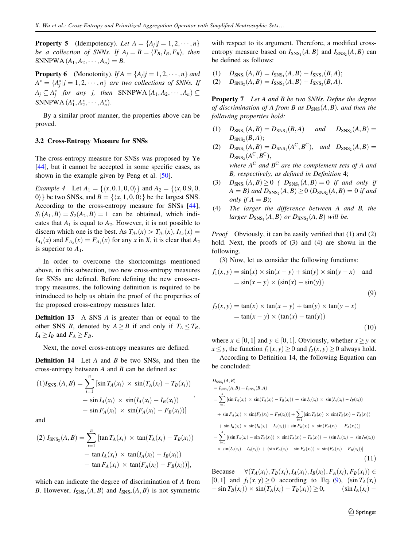<span id="page-6-0"></span>**Property 5** (Idempotency). Let  $A = \{A_j | j = 1, 2, \dots, n\}$ be a collection of SNNs. If  $A_i = B = \langle T_B, I_B, F_B \rangle$ , then SNNPWA  $(A_1, A_2, \cdots, A_n) = B$ .

**Property 6** (Monotonity). If  $A = \{A_j | j = 1, 2, \dots, n\}$  and  $A^* = \{A_j^* | j = 1, 2, \cdots, n\}$  are two collections of SNNs. If  $A_j \subseteq A_j^*$  for any j, then SNNPWA  $(A_1, A_2, \dots, A_n) \subseteq$ SNNPWA  $(A_1^*, A_2^*, \cdots, A_n^*)$ .

By a similar proof manner, the properties above can be proved.

#### 3.2 Cross-Entropy Measure for SNSs

The cross-entropy measure for SNSs was proposed by Ye [\[44](#page-11-0)], but it cannot be accepted in some specific cases, as shown in the example given by Peng et al. [[50](#page-12-0)].

Example 4 Let A<sup>1</sup> ¼ f g h i x; 0:1; 0; 0 and A<sup>2</sup> ¼ fhx; 0:9; 0; 0) be two SNSs, and  $B = \{ \langle x, 1, 0, 0 \rangle \}$  be the largest SNS. According to the cross-entropy measure for SNSs [\[44](#page-11-0)],  $S_1(A_1, B) = S_2(A_2, B) = 1$  can be obtained, which indicates that  $A_1$  is equal to  $A_2$ . However, it is not possible to discern which one is the best. As  $T_{A_2}(x) > T_{A_1}(x)$ ,  $I_{A_2}(x) =$  $I_{A_1}(x)$  and  $F_{A_2}(x) = F_{A_1}(x)$  for any x in X, it is clear that  $A_2$ is superior to  $A_1$ .

In order to overcome the shortcomings mentioned above, in this subsection, two new cross-entropy measures for SNSs are defined. Before defining the new cross-entropy measures, the following definition is required to be introduced to help us obtain the proof of the properties of the proposed cross-entropy measures later.

**Definition 13** A SNS A is greater than or equal to the other SNS B, denoted by  $A \geq B$  if and only if  $T_A \leq T_B$ ,  $I_A \geq I_B$  and  $F_A \geq F_B$ .

Next, the novel cross-entropy measures are defined.

**Definition 14** Let  $A$  and  $B$  be two SNSs, and then the cross-entropy between  $A$  and  $B$  can be defined as:

$$
(1)I_{SNS_1}(A, B) = \sum_{i=1}^{n} [\sin T_A(x_i) \times \sin(T_A(x_i) - T_B(x_i)) + \sin I_A(x_i) \times \sin(I_A(x_i) - I_B(x_i)) + \sin F_A(x_i) \times \sin(F_A(x_i) - F_B(x_i))]
$$

and

(2) 
$$
I_{SNS_2}(A, B) = \sum_{i=1}^{n} [\tan T_A(x_i) \times \tan(T_A(x_i) - T_B(x_i)) + \tan I_A(x_i) \times \tan(I_A(x_i) - I_B(x_i)) + \tan F_A(x_i) \times \tan(F_A(x_i) - F_B(x_i))],
$$

which can indicate the degree of discrimination of A from B. However,  $I_{\text{SNS}_1}(A, B)$  and  $I_{\text{SNS}_2}(A, B)$  is not symmetric

with respect to its argument. Therefore, a modified crossentropy measure based on  $I_{SNS_1}(A, B)$  and  $I_{SNS_2}(A, B)$  can be defined as follows:

- (1)  $D_{\text{SNS}_1}(A, B) = I_{\text{SNS}_1}(A, B) + I_{\text{SNS}_1}(B, A);$
- (2)  $D_{\text{SNS}_2}(A, B) = I_{\text{SNS}_2}(A, B) + I_{\text{SNS}_2}(B, A).$

Property 7 Let A and B be two SNNs. Define the degree of discrimination of A from B as  $D_{\rm SNS}(A, B)$ , and then the following properties hold:

- (1)  $D_{\text{SNS}_1}(A, B) = D_{\text{SNS}_1}(B, A)$  and  $D_{\text{SNS}_2}(A, B) =$  $D_{\text{SNS}_2}(B,A);$
- (2)  $D_{\text{SNS}_1}(A, B) = D_{\text{SNS}_1}(A^C, B^C)$ , and  $D_{\text{SNS}_2}(A, B) =$  $D_{\text{SNS}}(A^{\text{C}}, B^{\text{C}}),$ where  $A^C$  and  $B^C$  are the complement sets of A and B, respectively, as defined in Definition 4;
- (3)  $D_{\text{SNS}_1}(A, B) \ge 0$  (  $D_{\text{SNS}_1}(A, B) = 0$  if and only if  $A = B$ ) and  $D_{SNS_2}(A, B) \ge 0$  ( $D_{SNS_2}(A, B) = 0$  if and only if  $A = B$ ;
- (4) The larger the difference between A and B, the larger  $D_{\text{SNS}_1}(A, B)$  or  $D_{\text{SNS}_2}(A, B)$  will be.

Proof Obviously, it can be easily verified that (1) and (2) hold. Next, the proofs of (3) and (4) are shown in the following.

(3) Now, let us consider the following functions:

$$
f_1(x, y) = \sin(x) \times \sin(x - y) + \sin(y) \times \sin(y - x)
$$
 and  
=  $\sin(x - y) \times (\sin(x) - \sin(y))$  (9)

$$
f_2(x, y) = \tan(x) \times \tan(x - y) + \tan(y) \times \tan(y - x)
$$
  
=  $\tan(x - y) \times (\tan(x) - \tan(y))$  (10)

where  $x \in [0, 1]$  and  $y \in [0, 1]$ . Obviously, whether  $x \ge y$  or  $x \le y$ , the function  $f_1(x, y) \ge 0$  and  $f_2(x, y) \ge 0$  always hold.

According to Definition 14, the following Equation can be concluded:

$$
D_{SNS_1}(A, B) = I_{SNS_1}(A, B) + I_{SNS_1}(B, A)
$$
  
\n
$$
= \sum_{i=1}^n [\sin T_A(x_i) \times \sin(T_A(x_i) - T_B(x_i)) + \sin I_A(x_i) \times \sin(I_A(x_i) - I_B(x_i))
$$
  
\n
$$
+ \sin F_A(x_i) \times \sin(F_A(x_i) - F_B(x_i))] + \sum_{i=1}^n [\sin T_B(x_i) \times \sin(T_B(x_i) - T_A(x_i))]
$$
  
\n
$$
+ \sin I_B(x_i) \times \sin(I_B(x_i) - I_A(x_i)) + \sin F_B(x_i) \times \sin(F_B(x_i) - F_A(x_i))]
$$
  
\n
$$
= \sum_{i=1}^n [(\sin T_A(x_i) - \sin T_B(x_i)) \times \sin(T_A(x_i) - T_B(x_i)) + (\sin I_A(x_i) - \sin I_B(x_i))]
$$
  
\n
$$
\times \sin(I_A(x_i) - I_B(x_i)) + (\sin F_A(x_i) - \sin F_B(x_i)) \times \sin(F_A(x_i) - F_B(x_i))]
$$
\n(11)

Because  $\forall (T_A(x_i), T_B(x_i), I_A(x_i), I_B(x_i), F_A(x_i), F_B(x_i)) \in$ [0, 1] and  $f_1(x, y) \ge 0$  according to Eq. (9),  $(\sin T_A(x_i))$  $-\sin T_B(x_i)) \times \sin(T_A(x_i) - T_B(x_i)) \geq 0,$  (sin  $I_A(x_i) -$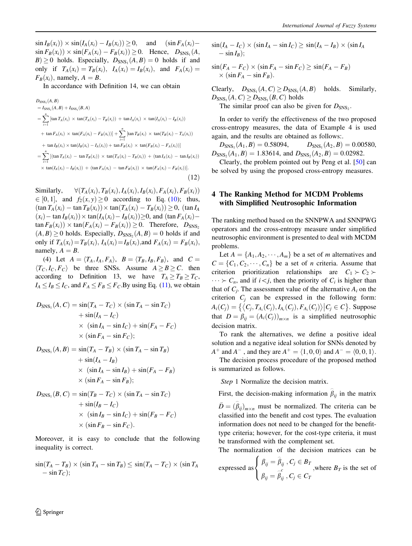<span id="page-7-0"></span>In accordance with Definition 14, we can obtain

$$
D_{\rm SNS_2}(A, B) = I_{\rm SNS_2}(B, A)
$$
  
=  $I_{\rm SNS_2}(A, B) + I_{\rm SNS_2}(B, A)$   
=  $\sum_{i=1}^{n} [\tan T_A(x_i) \times \tan(T_A(x_i) - T_B(x_i)) + \tan I_A(x_i) \times \tan(I_A(x_i) - I_B(x_i))$   
+  $\tan F_A(x_i) \times \tan(F_A(x_i) - F_B(x_i))] + \sum_{i=1}^{n} [\tan T_B(x_i) \times \tan(T_B(x_i) - T_A(x_i))$   
+  $\tan I_B(x_i) \times \tan(I_B(x_i) - I_A(x_i)) + \tan F_B(x_i) \times \tan(F_B(x_i) - F_A(x_i))]$   
=  $\sum_{i=1}^{n} [(\tan T_A(x_i) - \tan T_B(x_i)) \times \tan(T_A(x_i) - T_B(x_i)) + (\tan I_A(x_i) - \tan I_B(x_i))]$   
 $\times \tan(I_A(x_i) - I_B(x_i)) + (\tan F_A(x_i) - \tan F_B(x_i)) \times \tan(F_A(x_i) - F_B(x_i))].$  (12)

Similarly,  $\forall (T_A(x_i), T_B(x_i), I_A(x_i), I_B(x_i), F_A(x_i), F_B(x_i))$  $\in [0, 1]$ , and  $f_2(x, y) \ge 0$  according to Eq. [\(10](#page-6-0)); thus,  $\left(\tan T_A(x_i) - \tan T_B(x_i)\right) \times \tan(T_A(x_i) - T_B(x_i)) \geq 0$ ,  $\left(\tan I_A\right)$  $(x_i)$  tan  $I_B(x_i)$   $\times$  tan $(I_A(x_i) - I_B(x_i)) \geq 0$ , and  $(\tan F_A(x_i) \tan F_B(x_i)$   $\times$   $\tan(F_A(x_i) - F_B(x_i)) \geq 0$ . Therefore,  $D_{\text{SNS}}$ ,  $(A, B) \ge 0$  holds. Especially,  $D_{\text{SNS}}(A, B) = 0$  holds if and only if  $T_A(x_i) = T_B(x_i)$ ,  $I_A(x_i) = I_B(x_i)$ , and  $F_A(x_i) = F_B(x_i)$ , namely,  $A = B$ .

(4) Let  $A = \langle T_A, I_A, F_A \rangle$ ,  $B = \langle T_B, I_B, F_B \rangle$ , and  $C =$  $\langle T_C, I_C, F_C \rangle$  be three SNSs. Assume  $A \geq B \geq C$ . then according to Definition 13, we have  $T_A \ge T_B \ge T_C$ ,  $I_A \leq I_B \leq I_C$ , and  $F_A \leq F_B \leq F_C$ . By using Eq. ([11](#page-6-0)), we obtain

$$
D_{\text{SNS}_1}(A, C) = \sin(T_A - T_C) \times (\sin T_A - \sin T_C)
$$
  
+  $\sin(I_A - I_C)$   
×  $(\sin I_A - \sin I_C) + \sin(F_A - F_C)$   
×  $(\sin F_A - \sin F_C);$ 

$$
D_{\text{SNS}_1}(A, B) = \sin(T_A - T_B) \times (\sin T_A - \sin T_B)
$$
  
+  $\sin(I_A - I_B)$   
×  $(\sin I_A - \sin I_B) + \sin(F_A - F_B)$   
×  $(\sin F_A - \sin F_B);$ 

$$
D_{\text{SNS}_1}(B, C) = \sin(T_B - T_C) \times (\sin T_A - \sin T_C)
$$
  
+ 
$$
\sin(I_B - I_C)
$$
  
× 
$$
(\sin I_B - \sin I_C) + \sin(F_B - F_C)
$$
  
× 
$$
(\sin F_B - \sin F_C).
$$

Moreover, it is easy to conclude that the following inequality is correct.

$$
\sin(T_A - T_B) \times (\sin T_A - \sin T_B) \le \sin(T_A - T_C) \times (\sin T_A - \sin T_C);
$$

 $\sin(I_A - I_C) \times (\sin I_A - \sin I_C) \geq \sin(I_A - I_B) \times (\sin I_A)$  $-\sin I_B$ :

$$
\frac{\sin(F_A - F_C) \times (\sin F_A - \sin F_C) \ge \sin(F_A - F_B)}{\times (\sin F_A - \sin F_B)}\n.
$$

Clearly,  $D_{\text{SNS}_1}(A, C) \ge D_{\text{SNS}_1}(A, B)$  holds. Similarly,  $D_{\text{SNS}_1}(A, C) \ge D_{\text{SNS}_1}(B, C)$  holds

The similar proof can also be given for  $D_{\text{SNS}_2}$ .

In order to verify the effectiveness of the two proposed cross-entropy measures, the data of Example 4 is used again, and the results are obtained as follows:.

 $D_{\text{SNS}_1}(A_1, B) = 0.58094, \qquad D_{\text{SNS}_1}(A_2, B) = 0.00580,$  $D_{\text{SNS}_2}(A_1, B) = 1.83614$ , and  $D_{\text{SNS}_2}(A_2, B) = 0.02982$ .

Clearly, the problem pointed out by Peng et al. [\[50](#page-12-0)] can be solved by using the proposed cross-entropy measures.

## 4 The Ranking Method for MCDM Problems with Simplified Neutrosophic Information

The ranking method based on the SNNPWA and SNNPWG operators and the cross-entropy measure under simplified neutrosophic environment is presented to deal with MCDM problems.

Let  $A = \{A_1, A_2, \dots, A_m\}$  be a set of m alternatives and  $C = \{C_1, C_2, \dots, C_n\}$  be a set of *n* criteria. Assume that criterion prioritization relationships are  $C_1 \succ C_2$  $\cdots > C_n$ , and if  $i < j$ , then the priority of  $C_i$  is higher than that of  $C_i$ . The assessment value of the alternative  $A_i$  on the criterion  $C_i$  can be expressed in the following form:  $A_i(C_j) = \left\{ \left\langle C_j, T_{A_i}(C_j), I_{A_i}(C_j), F_{A_i}(C_j) \right\rangle \middle| C_j \in C \right\}.$  Suppose that  $D = \beta_{ij} = (A_i(C_j))_{m \times n}$  is a simplified neutrosophic decision matrix.

To rank the alternatives, we define a positive ideal solution and a negative ideal solution for SNNs denoted by  $A^+$  and  $A^-$ , and they are  $A^+ = \langle 1, 0, 0 \rangle$  and  $A^- = \langle 0, 0, 1 \rangle$ .

The decision process procedure of the proposed method is summarized as follows.

Step 1 Normalize the decision matrix.

First, the decision-making information  $\hat{\beta}_{ij}$  in the matrix  $\bar{D} = (\hat{\beta}_{ij})_{m \times n}$  must be normalized. The criteria can be classified into the benefit and cost types. The evaluation information does not need to be changed for the benefittype criteria; however, for the cost-type criteria, it must be transformed with the complement set.

The normalization of the decision matrices can be 7

expressed as  $\left\{\beta_{ij} = \hat{\beta}_{ij}, C_j \in B_T\right\}$  $\beta_{ij} = \widehat{\beta}_{ij}^c\;, C_j \in C_T$  $\overline{1}$  $\left\{\n\begin{array}{l}\n\frac{\partial}{\partial y} & \text{where } B_T \text{ is the set of} \\
\frac{\partial}{\partial y} & \frac{\partial}{\partial z} \\
\frac{\partial}{\partial z} & \frac{\partial}{\partial z} \\
\frac{\partial}{\partial z} & \frac{\partial}{\partial z} \\
\frac{\partial}{\partial x} & \frac{\partial}{\partial y} \\
\frac{\partial}{\partial z} & \frac{\partial}{\partial z}\n\end{array}\n\right\}$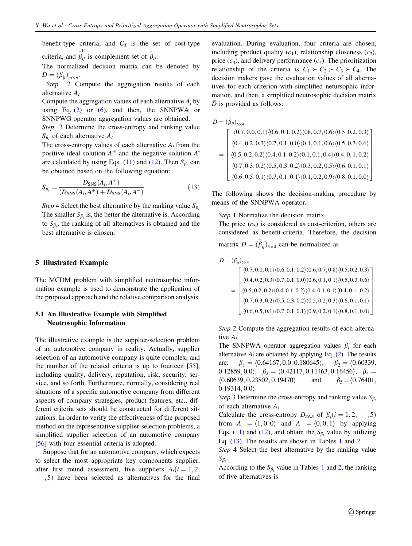<span id="page-8-0"></span>benefit-type criteria, and  $C_T$  is the set of cost-type criteria, and  $\hat{\overline{\beta}}_{ij}^C$  is complement set of  $\hat{\overline{\beta}}_{ij}$ .

The normalized decision matrix can be denoted by  $D = (\beta_{ii})_{m \times n}$ .

Step 2 Compute the aggregation results of each alternative  $A_i$ 

Compute the aggregation values of each alternative  $A_i$  by using Eq.  $(2)$  $(2)$  or  $(6)$  $(6)$ , and then, the SNNPWA or SNNPWG operator aggregation values are obtained.

Step 3 Determine the cross-entropy and ranking value  $S_{\beta_i}$  of each alternative  $A_i$ 

The cross-entropy values of each alternative  $A_i$  from the positive ideal solution  $A^+$  and the negative solution  $A^-$ are calculated by using Eqs. ([11\)](#page-6-0) and ([12\)](#page-7-0). Then  $S_{\beta_i}$  can be obtained based on the following equation:

$$
S_{\beta_i} = \frac{D_{\text{SNS}}(A_i, A^+)}{(D_{\text{SNS}}(A_i, A^+) + D_{\text{SNS}}(A_i, A^-)}
$$
(13)

Step 4 Select the best alternative by the ranking value  $S_{\beta_i}$ The smaller  $S_{\beta_i}$  is, the better the alternative is. According to  $S_{\beta_i}$ , the ranking of all alternatives is obtained and the best alternative is chosen.

#### 5 Illustrated Example

The MCDM problem with simplified neutrosophic information example is used to demonstrate the application of the proposed approach and the relative comparison analysis.

## 5.1 An Illustrative Example with Simplified Neutrosophic Information

The illustrative example is the supplier-selection problem of an automotive company in reality. Actually, supplier selection of an automotive company is quite complex, and the number of the related criteria is up to fourteen [\[55](#page-12-0)], including quality, delivery, reputation, risk, security, service, and so forth. Furthermore, normally, considering real situations of a specific automotive company from different aspects of company strategies, product features, etc., different criteria sets should be constructed for different situations. In order to verify the effectiveness of the proposed method on the representative supplier-selection problems, a simplified supplier selection of an automotive company [\[56](#page-12-0)] with four essential criteria is adopted.

Suppose that for an automotive company, which expects to select the most appropriate key components supplier, after first round assessment, five suppliers  $A_i(i = 1, 2, ...)$  $\cdots$ , 5) have been selected as alternatives for the final

evaluation. During evaluation, four criteria are chosen, including product quality  $(c_1)$ , relationship closeness  $(c_2)$ , price  $(c_3)$ , and delivery performance  $(c_4)$ . The prioritization relationship of the criteria is  $C_1 \succ C_2 \succ C_3 \succ C_4$ . The decision makers gave the evaluation values of all alternatives for each criterion with simplified netursophic information, and then, a simplified neutrosophic decision matrix  $\bar{D}$  is provided as follows:

$$
\bar{D} = (\hat{\beta}_{ij})_{5\times4}
$$
\n
$$
= \begin{bmatrix}\n\langle 0.7, 0.0, 0.1 \rangle \langle 0.6, 0.1, 0.2 \rangle \langle 08, 0.7, 0.6 \rangle \langle 0.5, 0.2, 0.3 \rangle \\
\langle 0.4, 0.2, 0.3 \rangle \langle 0.7, 0.1, 0.0 \rangle \langle 0.1, 0.1, 0.6 \rangle \langle 0.5, 0.3, 0.6 \rangle \\
\langle 0.5, 0.2, 0.2 \rangle \langle 0.4, 0.1, 0.2 \rangle \langle 0.1, 0.1, 0.4 \rangle \langle 0.4, 0, 1, 0.2 \rangle \\
\langle 0.7, 0.3, 0.2 \rangle \langle 0.5, 0.3, 0.2 \rangle \langle 0.3, 0.2, 0.5 \rangle \langle 0.6, 0.1, 0.1 \rangle \\
\langle 0.6, 0.5, 0.1 \rangle \langle 0.7, 0.1, 0.1 \rangle \langle 0.1, 0.2, 0.9 \rangle \langle 0.8, 0.1, 0.0 \rangle\n\end{bmatrix}.
$$

The following shows the decision-making procedure by means of the SNNPWA operator.

Step 1 Normalize the decision matrix.

The price  $(c_3)$  is considered as cost-criterion, others are considered as benefit-criteria. Therefore, the decision

martrix  $\bar{D} = (\hat{\beta}_{ij})_{5 \times 4}$  can be normalized as

$$
D = (\beta_{ij})_{5\times4}
$$
\n
$$
= \begin{bmatrix}\n\langle 0.7, 0.0, 0.1 \rangle \langle 0.6, 0.1, 0.2 \rangle \langle 0.6, 0.7, 0.8 \rangle \langle 0.5, 0.2, 0.3 \rangle \\
\langle 0.4, 0.2, 0.3 \rangle \langle 0.7, 0.1, 0.0 \rangle \langle 0.6, 0.1, 0.1 \rangle \langle 0.5, 0.3, 0.6 \rangle \\
\langle 0.5, 0.2, 0.2 \rangle \langle 0.4, 0.1, 0.2 \rangle \langle 0.4, 0.1, 0.1 \rangle \langle 0.4, 0, 1, 0.2 \rangle \\
\langle 0.7, 0.3, 0.2 \rangle \langle 0.5, 0.3, 0.2 \rangle \langle 0.5, 0.2, 0.3 \rangle \langle 0.6, 0.1, 0.1 \rangle \\
\langle 0.6, 0.5, 0.1 \rangle \langle 0.7, 0.1, 0.1 \rangle \langle 0.9, 0.2, 0.1 \rangle \langle 0.8, 0.1, 0.0 \rangle\n\end{bmatrix}.
$$

Step 2 Compute the aggregation results of each alternative  $A_i$ 

The SNNPWA operator aggregation values  $\beta_i$  for each alternative  $A_i$  are obtained by applying Eq. [\(2](#page-3-0)). The results are:  $\beta_1 = \langle 0.64167, 0.0, 0.180645 \rangle$ ,  $\beta_2 = \langle 0.60339,$ 0.12859, 0.0 $\langle \beta_3 \rangle = \langle 0.42117, 0.11463, 0.16456 \rangle$ ,  $\beta_4 =$  $\langle 0.60639, 0.23802, 0.19470 \rangle$  and  $\beta_5 = \langle 0.76401,$  $0.19314, 0.0$ .

Step 3 Determine the cross-entropy and ranking value  $S_{\beta_i}$ of each alternative  $A_i$ 

Calculate the cross-entropy  $D_{SNS}$  of  $\beta_i (i = 1, 2, \dots, 5)$ from  $A^+ = \langle 1, 0, 0 \rangle$  and  $A^- = \langle 0, 0, 1 \rangle$  by applying Eqs. [\(11](#page-6-0)) and ([12\)](#page-7-0), and obtain the  $S_{\beta_i}$  value by utilizing Eq. (13). The results are shown in Tables [1](#page-9-0) and [2.](#page-9-0)

Step 4 Select the best alternative by the ranking value  $S_{\beta_i}$ .

According to the  $S_{\beta_i}$  value in Tables [1](#page-9-0) and [2,](#page-9-0) the ranking of five alternatives is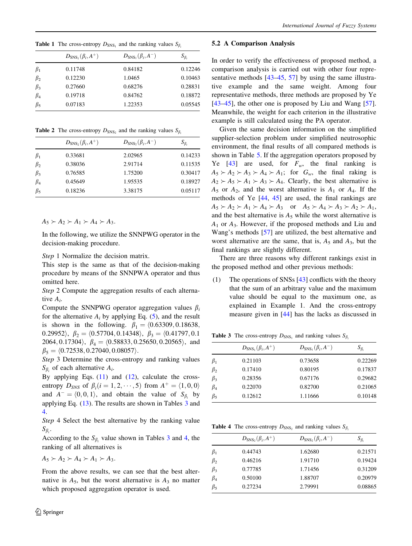<span id="page-9-0"></span>**Table 1** The cross-entropy  $D_{\text{SNS}_1}$  and the ranking values  $S_{\beta_i}$ 

|           | $D_{\rm SNS_1}(\beta_i, A^+)$ | $D_{\rm SNS_1}(\beta_i, A^-)$ | $S_{\beta_i}$ |
|-----------|-------------------------------|-------------------------------|---------------|
| $\beta_1$ | 0.11748                       | 0.84182                       | 0.12246       |
| $\beta_2$ | 0.12230                       | 1.0465                        | 0.10463       |
| $\beta_3$ | 0.27660                       | 0.68276                       | 0.28831       |
| $\beta_4$ | 0.19718                       | 0.84762                       | 0.18872       |
| $\beta_5$ | 0.07183                       | 1.22353                       | 0.05545       |

**Table 2** The cross-entropy  $D_{\text{SNS}_2}$  and the ranking values  $S_{\beta_i}$ 

|           | $D_{\text{SNS}_2}(\beta_i, A^+)$ | $D_{\text{SNS}_2}(\beta_i, A^-)$ | $S_{\beta_i}$ |
|-----------|----------------------------------|----------------------------------|---------------|
| $\beta_1$ | 0.33681                          | 2.02965                          | 0.14233       |
| $\beta_2$ | 0.38036                          | 2.91714                          | 0.11535       |
| $\beta_3$ | 0.76585                          | 1.75200                          | 0.30417       |
| $\beta_4$ | 0.45649                          | 1.95535                          | 0.18927       |
| $\beta_5$ | 0.18236                          | 3.38175                          | 0.05117       |

 $A_5 \succ A_2 \succ A_1 \succ A_4 \succ A_3.$ 

In the following, we utilize the SNNPWG operator in the decision-making procedure.

Step 1 Normalize the decision matrix.

This step is the same as that of the decision-making procedure by means of the SNNPWA operator and thus omitted here.

Step 2 Compute the aggregation results of each alternative  $A_i$ .

Compute the SNNPWG operator aggregation values  $\beta_i$ for the alternative  $A_i$  by applying Eq. ([5\)](#page-5-0), and the result is shown in the following.  $\beta_1 = (0.63309, 0.18638,$ 0.29952),  $\beta_2 = \langle 0.57704, 0.14348 \rangle$ ,  $\beta_3 = \langle 0.41797, 0.1$  $2064, 0.17304$ ,  $\beta_4 = \langle 0.58833, 0.25650, 0.20565 \rangle$ , and  $\beta_5 = \langle 0.72538, 0.27040, 0.08057 \rangle$ .

Step 3 Determine the cross-entropy and ranking values  $S_{\beta_i}$  of each alternative  $A_i$ .

By applying Eqs.  $(11)$  $(11)$  and  $(12)$  $(12)$ , calculate the crossentropy  $D_{SNS}$  of  $\beta_i (i = 1, 2, \dots, 5)$  from  $A^+ = \langle 1, 0, 0 \rangle$ and  $A^- = \langle 0, 0, 1 \rangle$ , and obtain the value of  $S_{\beta_i}$  by applying Eq. ([13\)](#page-8-0). The results are shown in Tables 3 and 4.

Step 4 Select the best alternative by the ranking value  $\mathcal{S}_{\beta_i}$ .

According to the  $S_{\beta_i}$  value shown in Tables 3 and 4, the ranking of all alternatives is

$$
A_5 \succ A_2 \succ A_4 \succ A_1 \succ A_3.
$$

From the above results, we can see that the best alternative is  $A_5$ , but the worst alternative is  $A_3$  no matter which proposed aggregation operator is used.

## 5.2 A Comparison Analysis

In order to verify the effectiveness of proposed method, a comparison analysis is carried out with other four repre-sentative methods [\[43–45](#page-11-0), [57](#page-12-0)] by using the same illustrative example and the same weight. Among four representative methods, three methods are proposed by Ye [\[43–45](#page-11-0)], the other one is proposed by Liu and Wang [\[57](#page-12-0)]. Meanwhile, the weight for each criterion in the illustrative example is still calculated using the PA operator.

Given the same decision information on the simplified supplier-selection problem under simplified neutrosophic environment, the final results of all compared methods is shown in Table [5](#page-10-0). If the aggregation operators proposed by Ye [\[43](#page-11-0)] are used, for  $F_w$ , the final ranking is  $A_5 \succ A_2 \succ A_3 \succ A_4 \succ A_1$ ; for  $G_w$ , the final raking is  $A_2 \rightarrow A_5 \rightarrow A_1 \rightarrow A_3 \rightarrow A_4$ . Clearly, the best alternative is  $A_5$  or  $A_2$ , and the worst alternative is  $A_1$  or  $A_4$ . If the methods of Ye [[44,](#page-11-0) [45\]](#page-11-0) are used, the final rankings are  $A_5 \succ A_2 \succ A_1 \succ A_4 \succ A_3$  or  $A_5 \succ A_4 \succ A_3 \succ A_2 \succ A_1$ , and the best alternative is  $A_5$  while the worst alternative is  $A_1$  or  $A_3$ . However, if the proposed methods and Liu and Wang's methods [\[57](#page-12-0)] are utilized, the best alternative and worst alternative are the same, that is,  $A_5$  and  $A_3$ , but the final rankings are slightly different.

There are three reasons why different rankings exist in the proposed method and other previous methods:

(1) The operations of SNSs [\[43](#page-11-0)] conflicts with the theory that the sum of an arbitrary value and the maximum value should be equal to the maximum one, as explained in Example 1. And the cross-entropy measure given in [\[44](#page-11-0)] has the lacks as discussed in

**Table 3** The cross-entropy  $D_{\text{SNS}_1}$  and ranking values  $S_{\beta_i}$ 

|           | $D_{\rm SNS_1}(\beta_i, A^+)$ | $D_{\rm SNS_1}(\beta_i, A^-)$ | $S_{\beta_i}$ |
|-----------|-------------------------------|-------------------------------|---------------|
| $\beta_1$ | 0.21103                       | 0.73658                       | 0.22269       |
| $\beta_2$ | 0.17410                       | 0.80195                       | 0.17837       |
| $\beta_3$ | 0.28356                       | 0.67176                       | 0.29682       |
| $\beta_4$ | 0.22070                       | 0.82700                       | 0.21065       |
| $\beta_5$ | 0.12612                       | 1.11666                       | 0.10148       |

**Table 4** The cross-entropy  $D_{\text{SNS}_2}$  and ranking values  $S_{\beta}$ 

|           | $D_{\text{SNS}_2}(\beta_i, A^+)$ | $D_{\text{SNS}_2}(\beta_i, A^-)$ | $S_{\beta_i}$ |
|-----------|----------------------------------|----------------------------------|---------------|
| $\beta_1$ | 0.44743                          | 1.62680                          | 0.21571       |
| $\beta_2$ | 0.46216                          | 1.91710                          | 0.19424       |
| $\beta_3$ | 0.77785                          | 1.71456                          | 0.31209       |
| $\beta_4$ | 0.50100                          | 1.88707                          | 0.20979       |
| $\beta_5$ | 0.27234                          | 2.79991                          | 0.08865       |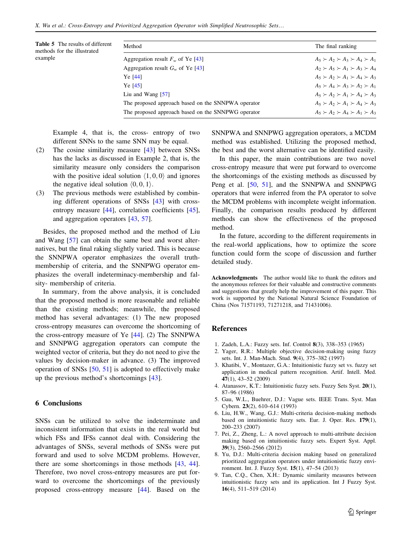<span id="page-10-0"></span>

| <b>Table 5</b> The results of different<br>methods for the illustrated | Method                                             | The final ranking                             |
|------------------------------------------------------------------------|----------------------------------------------------|-----------------------------------------------|
| example                                                                | Aggregation result $F_w$ of Ye [43]                | $A_5 \succ A_2 \succ A_3 \succ A_4 \succ A_1$ |
|                                                                        | Aggregation result $G_w$ of Ye [43]                | $A_2 \succ A_5 \succ A_1 \succ A_3 \succ A_4$ |
|                                                                        | Ye [44]                                            | $A_5 \succ A_2 \succ A_1 \succ A_4 \succ A_3$ |
|                                                                        | Ye [45]                                            | $A_5 \succ A_4 \succ A_3 \succ A_2 \succ A_1$ |
|                                                                        | Liu and Wang $[57]$                                | $A_5 \succ A_2 \succ A_1 \succ A_4 \succ A_3$ |
|                                                                        | The proposed approach based on the SNNPWA operator | $A_5 \succ A_2 \succ A_1 \succ A_4 \succ A_3$ |
|                                                                        | The proposed approach based on the SNNPWG operator | $A_5 \succ A_2 \succ A_4 \succ A_1 \succ A_3$ |

Example 4, that is, the cross- entropy of two different SNNs to the same SNN may be equal.

- (2) The cosine similarity measure [\[43](#page-11-0)] between SNSs has the lacks as discussed in Example 2, that is, the similarity measure only considers the comparison with the positive ideal solution  $\langle 1, 0, 0 \rangle$  and ignores the negative ideal solution  $(0, 0, 1)$ .
- (3) The previous methods were established by combining different operations of SNSs [\[43](#page-11-0)] with cross-entropy measure [\[44](#page-11-0)], correlation coefficients [\[45](#page-11-0)], and aggregation operators [[43,](#page-11-0) [57\]](#page-12-0).

Besides, the proposed method and the method of Liu and Wang [[57\]](#page-12-0) can obtain the same best and worst alternatives, but the final raking slightly varied. This is because the SNNPWA operator emphasizes the overall truthmembership of criteria, and the SNNPWG operator emphasizes the overall indeterminacy-membership and falsity- membership of criteria.

In summary, from the above analysis, it is concluded that the proposed method is more reasonable and reliable than the existing methods; meanwhile, the proposed method has several advantages: (1) The new proposed cross-entropy measures can overcome the shortcoming of the cross-entropy measure of Ye [[44\]](#page-11-0). (2) The SNNPWA and SNNPWG aggregation operators can compute the weighted vector of criteria, but they do not need to give the values by decision-maker in advance. (3) The improved operation of SNSs  $[50, 51]$  $[50, 51]$  $[50, 51]$  $[50, 51]$  $[50, 51]$  is adopted to effectively make up the previous method's shortcomings [[43\]](#page-11-0).

#### 6 Conclusions

SNSs can be utilized to solve the indeterminate and inconsistent information that exists in the real world but which FSs and IFSs cannot deal with. Considering the advantages of SNSs, several methods of SNSs were put forward and used to solve MCDM problems. However, there are some shortcomings in those methods [\[43](#page-11-0), [44](#page-11-0)]. Therefore, two novel cross-entropy measures are put forward to overcome the shortcomings of the previously proposed cross-entropy measure [[44\]](#page-11-0). Based on the SNNPWA and SNNPWG aggregation operators, a MCDM method was established. Utilizing the proposed method, the best and the worst alternative can be identified easily.

In this paper, the main contributions are two novel cross-entropy measure that were put forward to overcome the shortcomings of the existing methods as discussed by Peng et al. [\[50](#page-12-0), [51\]](#page-12-0), and the SNNPWA and SNNPWG operators that were inferred from the PA operator to solve the MCDM problems with incomplete weight information. Finally, the comparison results produced by different methods can show the effectiveness of the proposed method.

In the future, according to the different requirements in the real-world applications, how to optimize the score function could form the scope of discussion and further detailed study.

Acknowledgments The author would like to thank the editors and the anonymous referees for their valuable and constructive comments and suggestions that greatly help the improvement of this paper. This work is supported by the National Natural Science Foundation of China (Nos 71571193, 71271218, and 71431006).

# References

- 1. Zadeh, L.A.: Fuzzy sets. Inf. Control 8(3), 338–353 (1965)
- 2. Yager, R.R.: Multiple objective decision-making using fuzzy sets. Int. J. Man-Mach. Stud. 9(4), 375–382 (1997)
- 3. Khatibi, V., Montazer, G.A.: Intuitionistic fuzzy set vs. fuzzy set application in medical pattern recognition. Artif. Intell. Med. 47(1), 43–52 (2009)
- 4. Atanassov, K.T.: Intuitionistic fuzzy sets. Fuzzy Sets Syst. 20(1), 87–96 (1986)
- 5. Gau, W.L., Buehrer, D.J.: Vague sets. IEEE Trans. Syst. Man Cybern. 23(2), 610–614 (1993)
- 6. Liu, H.W., Wang, G.J.: Multi-criteria decision-making methods based on intuitionistic fuzzy sets. Eur. J. Oper. Res. 179(1), 200–233 (2007)
- 7. Pei, Z., Zheng, L.: A novel approach to multi-attribute decision making based on intuitionistic fuzzy sets. Expert Syst. Appl. 39(3), 2560–2566 (2012)
- 8. Yu, D.J.: Multi-criteria decision making based on generalized prioritized aggregation operators under intuitionistic fuzzy environment. Int. J. Fuzzy Syst. 15(1), 47–54 (2013)
- 9. Tan, C.Q., Chen, X.H.: Dynamic similarity measures between intuitionistic fuzzy sets and its application. Int J Fuzzy Syst. 16(4), 511–519 (2014)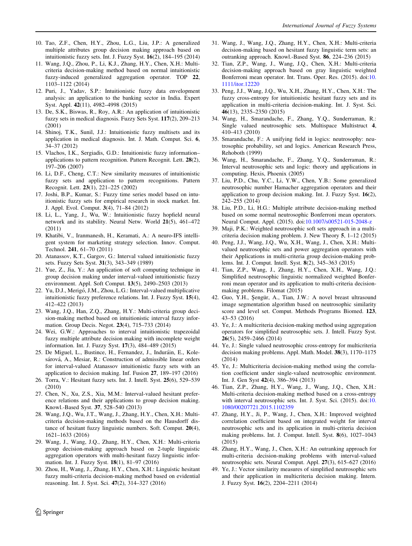- <span id="page-11-0"></span>10. Tao, Z.F., Chen, H.Y., Zhou, L.G., Liu, J.P.: A generalized multiple attributes group decision making approach based on intuitionistic fuzzy sets. Int. J. Fuzzy Syst. 16(2), 184–195 (2014)
- 11. Wang, J.Q., Zhou, P., Li, K.J., Zhang, H.Y., Chen, X.H.: Multicriteria decision-making method based on normal intuitionistic fuzzy-induced generalized aggregation operator. TOP 22, 1103–1122 (2014)
- 12. Puri, J., Yadav, S.P.: Intuitionistic fuzzy data envelopment analysis: an application to the banking sector in India. Expert Syst. Appl. 42(11), 4982–4998 (2015)
- 13. De, S.K., Biswas, R., Roy, A.R.: An application of intuitionistic fuzzy sets in medical diagnosis. Fuzzy Sets Syst. 117(2), 209–213 (2001)
- 14. Shinoj, T.K., Sunil, J.J.: Intuitionistic fuzzy multisets and its application in medical diagnosis. Int. J. Math. Comput. Sci. 6, 34–37 (2012)
- 15. Vlachos, I.K., Sergiadis, G.D.: Intuitionistic fuzzy information– applications to pattern recognition. Pattern Recognit. Lett. 28(2), 197–206 (2007)
- 16. Li, D.F., Cheng, C.T.: New similarity measures of intuitionistic fuzzy sets and application to pattern recognitions. Pattern Recognit. Lett. 23(1), 221–225 (2002)
- 17. Joshi, B.P., Kumar, S.: Fuzzy time series model based on intuitionistic fuzzy sets for empirical research in stock market. Int. J. Appl. Evol. Comput. 3(4), 71–84 (2012)
- 18. Li, L., Yang, J., Wu, W.: Intuitionistic fuzzy hopfield neural network and its stability. Neural Netw. World 21(5), 461–472 (2011)
- 19. Khatibi, V., Iranmanesh, H., Keramati, A.: A neuro-IFS intelligent system for marketing strategy selection. Innov. Comput. Technol. 241, 61–70 (2011)
- 20. Atanassov, K.T., Gargov, G.: Interval valued intuitionistic fuzzy sets. Fuzzy Sets Syst. 31(3), 343–349 (1989)
- 21. Yue, Z., Jia, Y.: An application of soft computing technique in group decision making under interval-valued intuitionistic fuzzy environment. Appl. Soft Comput. 13(5), 2490–2503 (2013)
- 22. Yu, D.J., Merigó, J.M., Zhou, L.G.: Interval-valued multiplicative intuitionistic fuzzy preference relations. Int. J. Fuzzy Syst. 15(4), 412–422 (2013)
- 23. Wang, J.Q., Han, Z.Q., Zhang, H.Y.: Multi-criteria group decision-making method based on intuitionistic interval fuzzy information. Group Decis. Negot. 23(4), 715–733 (2014)
- 24. Wei, G.W.: Approaches to interval intuitionistic trapezoidal fuzzy multiple attribute decision making with incomplete weight information. Int. J. Fuzzy Syst. 17(3), 484–489 (2015)
- 25. De Miguel, L., Bustince, H., Fernandez, J., Induráin, E., Kolesárová, A., Mesiar, R.: Construction of admissible linear orders for interval-valued Atanassov intuitionistic fuzzy sets with an application to decision making. Inf. Fusion 27, 189–197 (2016)
- 26. Torra, V.: Hesitant fuzzy sets. Int. J. Intell. Syst. 25(6), 529–539 (2010)
- 27. Chen, N., Xu, Z.S., Xia, M.M.: Interval-valued hesitant preference relations and their applications to group decision making. Knowl.-Based Syst. 37, 528–540 (2013)
- 28. Wang, J.Q., Wu, J.T., Wang, J., Zhang, H.Y., Chen, X.H.: Multicriteria decision-making methods based on the Hausdorff distance of hesitant fuzzy linguistic numbers. Soft. Comput. 20(4), 1621–1633 (2016)
- 29. Wang, J., Wang, J.Q., Zhang, H.Y., Chen, X.H.: Multi-criteria group decision-making approach based on 2-tuple linguistic aggregation operators with multi-hesitant fuzzy linguistic information. Int. J. Fuzzy Syst. 18(1), 81–97 (2016)
- 30. Zhou, H., Wang, J., Zhang, H.Y., Chen, X.H.: Linguistic hesitant fuzzy multi-criteria decision-making method based on evidential reasoning. Int. J. Syst. Sci. 47(2), 314–327 (2016)
- 31. Wang, J., Wang, J.Q., Zhang, H.Y., Chen, X.H.: Multi-criteria decision-making based on hesitant fuzzy linguistic term sets: an outranking approach. Knowl.-Based Syst. 86, 224–236 (2015)
- 32. Tian, Z.P., Wang, J., Wang, J.Q., Chen, X.H.: Multi-criteria decision-making approach based on gray linguistic weighted Bonferroni mean operator. Int. Trans. Oper. Res. (2015). doi:[10.](http://dx.doi.org/10.1111/itor.12220) [1111/itor.12220](http://dx.doi.org/10.1111/itor.12220)
- 33. Peng, J.J., Wang, J.Q., Wu, X.H., Zhang, H.Y., Chen, X.H.: The fuzzy cross-entropy for intuitionistic hesitant fuzzy sets and its application in multi-criteria decision-making. Int. J. Syst. Sci. 46(13), 2335–2350 (2015)
- 34. Wang, H., Smarandache, F., Zhang, Y.Q., Sunderraman, R.: Single valued neutrosophic sets. Multispace Multistruct 4, 410–413 (2010)
- 35. Smarandache, F.: A unifying field in logics: neutrosophy: neutrosophic probability, set and logics. American Research Press, Rehoboth (1999)
- 36. Wang, H., Smarandache, F., Zhang, Y.Q., Sunderraman, R.: Interval neutrosophic sets and logic: theory and applications in computing. Hexis, Phoenix (2005)
- 37. Liu, P.D., Chu, Y.C., Li, Y.W., Chen, Y.B.: Some generalized neutrosophic number Hamacher aggregation operators and their application to group decision making. Int. J. Fuzzy Syst. 16(2), 242–255 (2014)
- 38. Liu, P.D., Li, H.G.: Multiple attribute decision-making method based on some normal neutrosophic Bonferroni mean operators. Neural Comput. Appl. (2015). doi:[10.1007/s00521-015-2048-z](http://dx.doi.org/10.1007/s00521-015-2048-z)
- 39. Maji, P.K.: Weighted neutrosophic soft sets approach in a multicriteria decision making problem. J. New Theory 5, 1–12 (2015)
- 40. Peng, J.J., Wang, J.Q., Wu, X.H., Wang, J., Chen, X.H.: Multivalued neutrosophic sets and power aggregation operators with their Applications in multi-criteria group decision-making problems. Int. J. Comput. Intell. Syst. 8(2), 345–363 (2015)
- 41. Tian, Z.P., Wang, J., Zhang, H.Y., Chen, X.H., Wang, J.Q.: Simplified neutrosophic linguistic normalized weighted Bonferroni mean operator and its application to multi-criteria decisionmaking problems. Filomat (2015)
- 42. Guo, Y.H., Şengür, A., Tian, J.W.: A novel breast ultrasound image segmentation algorithm based on neutrosophic similarity score and level set. Comput. Methods Programs Biomed. 123, 43–53 (2016)
- 43. Ye, J.: A multicriteria decision-making method using aggregation operators for simplified neutrosophic sets. J. Intell. Fuzzy Syst. 26(5), 2459–2466 (2014)
- 44. Ye, J.: Single valued neutrosophic cross-entropy for multicriteria decision making problems. Appl. Math. Model. 38(3), 1170–1175 (2014)
- 45. Ye, J.: Multicriteria decision-making method using the correlation coefficient under single-valued neutrosophic environment. Int. J. Gen Syst 42(4), 386–394 (2013)
- 46. Tian, Z.P., Zhang, H.Y., Wang, J., Wang, J.Q., Chen, X.H.: Multi-criteria decision-making method based on a cross-entropy with interval neutrosophic sets. Int. J. Syst. Sci. (2015). doi:[10.](http://dx.doi.org/10.1080/00207721.2015.1102359) [1080/00207721.2015.1102359](http://dx.doi.org/10.1080/00207721.2015.1102359)
- 47. Zhang, H.Y., Ji, P., Wang, J., Chen, X.H.: Improved weighted correlation coefficient based on integrated weight for interval neutrosophic sets and its application in multi-criteria decision making problems. Int. J. Comput. Intell. Syst. 8(6), 1027–1043 (2015)
- 48. Zhang, H.Y., Wang, J., Chen, X.H.: An outranking approach for multi-criteria decision-making problems with interval-valued neutrosophic sets. Neural Comput. Appl. 27(3), 615–627 (2016)
- 49. Ye, J.: Vector similarity measures of simplified neutrosophic sets and their application in multicriteria decision making. Intern. J. Fuzzy Syst. 16(2), 2204–2211 (2014)